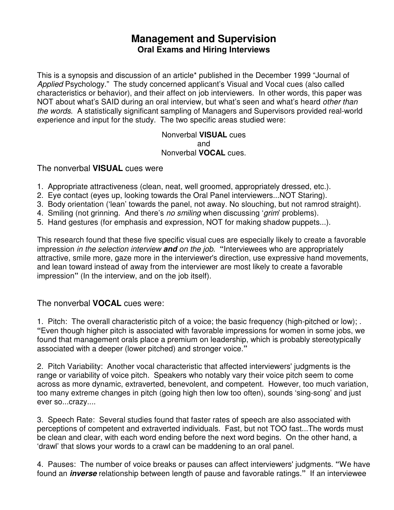### **Management and Supervision Oral Exams and Hiring Interviews**

This is a synopsis and discussion of an article\* published in the December 1999 "Journal of Applied Psychology." The study concerned applicant's Visual and Vocal cues (also called characteristics or behavior), and their affect on job interviewers. In other words, this paper was NOT about what's SAID during an oral interview, but what's seen and what's heard *other than* the words. A statistically significant sampling of Managers and Supervisors provided real-world experience and input for the study. The two specific areas studied were:

> Nonverbal **VISUAL** cues and Nonverbal **VOCAL** cues.

The nonverbal **VISUAL** cues were

- 1. Appropriate attractiveness (clean, neat, well groomed, appropriately dressed, etc.).
- 2. Eye contact (eyes up, looking towards the Oral Panel interviewers...NOT Staring).
- 3. Body orientation ('lean' towards the panel, not away. No slouching, but not ramrod straight).
- 4. Smiling (not grinning. And there's no smiling when discussing 'grim' problems).
- 5. Hand gestures (for emphasis and expression, NOT for making shadow puppets...).

This research found that these five specific visual cues are especially likely to create a favorable impression in the selection interview **and** on the job. **"**Interviewees who are appropriately attractive, smile more, gaze more in the interviewer's direction, use expressive hand movements, and lean toward instead of away from the interviewer are most likely to create a favorable impression**"** (In the interview, and on the job itself).

The nonverbal **VOCAL** cues were:

1. Pitch: The overall characteristic pitch of a voice; the basic frequency (high-pitched or low); . **"**Even though higher pitch is associated with favorable impressions for women in some jobs, we found that management orals place a premium on leadership, which is probably stereotypically associated with a deeper (lower pitched) and stronger voice.**"**

2. Pitch Variability: Another vocal characteristic that affected interviewers' judgments is the range or variability of voice pitch. Speakers who notably vary their voice pitch seem to come across as more dynamic, extraverted, benevolent, and competent. However, too much variation, too many extreme changes in pitch (going high then low too often), sounds 'sing-song' and just ever so...crazy....

3. Speech Rate: Several studies found that faster rates of speech are also associated with perceptions of competent and extraverted individuals. Fast, but not TOO fast...The words must be clean and clear, with each word ending before the next word begins. On the other hand, a 'drawl' that slows your words to a crawl can be maddening to an oral panel.

4. Pauses: The number of voice breaks or pauses can affect interviewers' judgments. **"**We have found an **inverse** relationship between length of pause and favorable ratings.**"** If an interviewee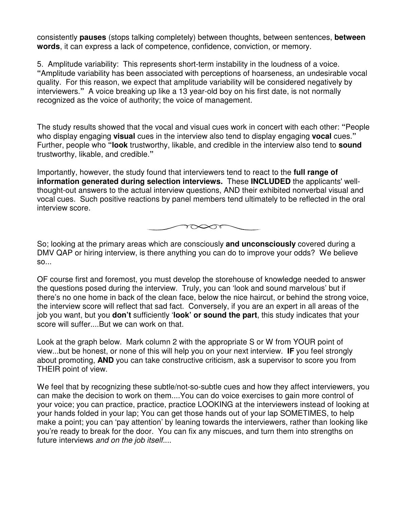consistently **pauses** (stops talking completely) between thoughts, between sentences, **between words**, it can express a lack of competence, confidence, conviction, or memory.

5. Amplitude variability: This represents short-term instability in the loudness of a voice. **"**Amplitude variability has been associated with perceptions of hoarseness, an undesirable vocal quality. For this reason, we expect that amplitude variability will be considered negatively by interviewers.**"** A voice breaking up like a 13 year-old boy on his first date, is not normally recognized as the voice of authority; the voice of management.

The study results showed that the vocal and visual cues work in concert with each other: **"**People who display engaging **visual** cues in the interview also tend to display engaging **vocal** cues.**"** Further, people who **"look** trustworthy, likable, and credible in the interview also tend to **sound** trustworthy, likable, and credible.**"**

Importantly, however, the study found that interviewers tend to react to the **full range of information generated during selection interviews.** These **INCLUDED** the applicants' wellthought-out answers to the actual interview questions, AND their exhibited nonverbal visual and vocal cues. Such positive reactions by panel members tend ultimately to be reflected in the oral interview score.



So; looking at the primary areas which are consciously **and unconsciously** covered during a DMV QAP or hiring interview, is there anything you can do to improve your odds? We believe so...

OF course first and foremost, you must develop the storehouse of knowledge needed to answer the questions posed during the interview. Truly, you can 'look and sound marvelous' but if there's no one home in back of the clean face, below the nice haircut, or behind the strong voice, the interview score will reflect that sad fact. Conversely, if you are an expert in all areas of the job you want, but you **don't** sufficiently '**look' or sound the part**, this study indicates that your score will suffer....But we can work on that.

Look at the graph below. Mark column 2 with the appropriate S or W from YOUR point of view...but be honest, or none of this will help you on your next interview. **IF** you feel strongly about promoting, **AND** you can take constructive criticism, ask a supervisor to score you from THEIR point of view.

We feel that by recognizing these subtle/not-so-subtle cues and how they affect interviewers, you can make the decision to work on them....You can do voice exercises to gain more control of your voice; you can practice, practice, practice LOOKING at the interviewers instead of looking at your hands folded in your lap; You can get those hands out of your lap SOMETIMES, to help make a point; you can 'pay attention' by leaning towards the interviewers, rather than looking like you're ready to break for the door. You can fix any miscues, and turn them into strengths on future interviews and on the job itself....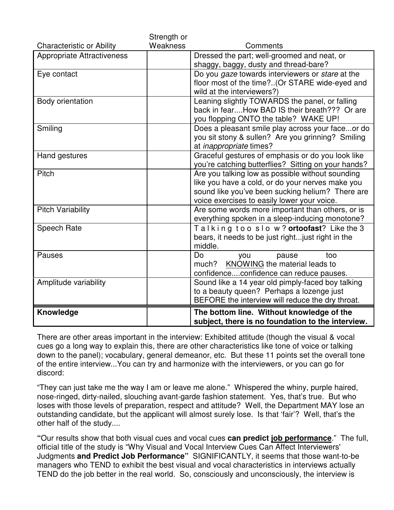|                                   | Strength or |                                                     |
|-----------------------------------|-------------|-----------------------------------------------------|
| <b>Characteristic or Ability</b>  | Weakness    | Comments                                            |
| <b>Appropriate Attractiveness</b> |             | Dressed the part; well-groomed and neat, or         |
|                                   |             | shaggy, baggy, dusty and thread-bare?               |
| Eye contact                       |             | Do you gaze towards interviewers or stare at the    |
|                                   |             | floor most of the time?(Or STARE wide-eyed and      |
|                                   |             | wild at the interviewers?)                          |
| Body orientation                  |             | Leaning slightly TOWARDS the panel, or falling      |
|                                   |             | back in fearHow BAD IS their breath??? Or are       |
|                                   |             | you flopping ONTO the table? WAKE UP!               |
| Smiling                           |             | Does a pleasant smile play across your faceor do    |
|                                   |             | you sit stony & sullen? Are you grinning? Smiling   |
|                                   |             | at <i>inappropriate</i> times?                      |
| Hand gestures                     |             | Graceful gestures of emphasis or do you look like   |
|                                   |             | you're catching butterflies? Sitting on your hands? |
| Pitch                             |             | Are you talking low as possible without sounding    |
|                                   |             | like you have a cold, or do your nerves make you    |
|                                   |             | sound like you've been sucking helium? There are    |
|                                   |             | voice exercises to easily lower your voice.         |
| <b>Pitch Variability</b>          |             | Are some words more important than others, or is    |
|                                   |             | everything spoken in a sleep-inducing monotone?     |
| Speech Rate                       |             | Talking too slow? ortoofast? Like the 3             |
|                                   |             | bears, it needs to be just right just right in the  |
|                                   |             | middle.                                             |
| Pauses                            |             | Do<br>too<br>you<br>pause                           |
|                                   |             | KNOWING the material leads to<br>much?              |
|                                   |             | confidenceconfidence can reduce pauses.             |
| Amplitude variability             |             | Sound like a 14 year old pimply-faced boy talking   |
|                                   |             | to a beauty queen? Perhaps a lozenge just           |
|                                   |             | BEFORE the interview will reduce the dry throat.    |
| Knowledge                         |             | The bottom line. Without knowledge of the           |
|                                   |             | subject, there is no foundation to the interview.   |
|                                   |             |                                                     |

There are other areas important in the interview: Exhibited attitude (though the visual & vocal cues go a long way to explain this, there are other characteristics like tone of voice or talking down to the panel); vocabulary, general demeanor, etc. But these 11 points set the overall tone of the entire interview...You can try and harmonize with the interviewers, or you can go for discord:

"They can just take me the way I am or leave me alone." Whispered the whiny, purple haired, nose-ringed, dirty-nailed, slouching avant-garde fashion statement. Yes, that's true. But who loses with those levels of preparation, respect and attitude? Well, the Department MAY lose an outstanding candidate, but the applicant will almost surely lose. Is that 'fair'? Well, that's the other half of the study....

**"**Our results show that both visual cues and vocal cues **can predict job performance**." The full, official title of the study is "Why Visual and Vocal Interview Cues Can Affect Interviewers' Judgments **and Predict Job Performance"** SIGNIFICANTLY, it seems that those want-to-be managers who TEND to exhibit the best visual and vocal characteristics in interviews actually TEND do the job better in the real world. So, consciously and unconsciously, the interview is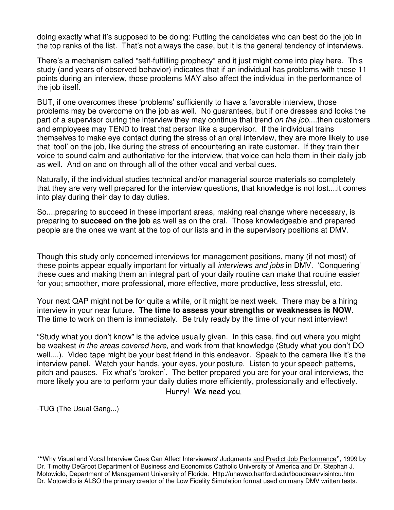doing exactly what it's supposed to be doing: Putting the candidates who can best do the job in the top ranks of the list. That's not always the case, but it is the general tendency of interviews.

There's a mechanism called "self-fulfilling prophecy" and it just might come into play here. This study (and years of observed behavior) indicates that if an individual has problems with these 11 points during an interview, those problems MAY also affect the individual in the performance of the job itself.

BUT, if one overcomes these 'problems' sufficiently to have a favorable interview, those problems may be overcome on the job as well. No guarantees, but if one dresses and looks the part of a supervisor during the interview they may continue that trend *on the job....then* customers and employees may TEND to treat that person like a supervisor. If the individual trains themselves to make eye contact during the stress of an oral interview, they are more likely to use that 'tool' on the job, like during the stress of encountering an irate customer. If they train their voice to sound calm and authoritative for the interview, that voice can help them in their daily job as well. And on and on through all of the other vocal and verbal cues.

Naturally, if the individual studies technical and/or managerial source materials so completely that they are very well prepared for the interview questions, that knowledge is not lost....it comes into play during their day to day duties.

So....preparing to succeed in these important areas, making real change where necessary, is preparing to **succeed on the job** as well as on the oral. Those knowledgeable and prepared people are the ones we want at the top of our lists and in the supervisory positions at DMV.

Though this study only concerned interviews for management positions, many (if not most) of these points appear equally important for virtually all interviews and jobs in DMV. 'Conquering' these cues and making them an integral part of your daily routine can make that routine easier for you; smoother, more professional, more effective, more productive, less stressful, etc.

Your next QAP might not be for quite a while, or it might be next week. There may be a hiring interview in your near future. **The time to assess your strengths or weaknesses is NOW**. The time to work on them is immediately. Be truly ready by the time of your next interview!

"Study what you don't know" is the advice usually given. In this case, find out where you might be weakest in the areas covered here, and work from that knowledge (Study what you don't DO well....). Video tape might be your best friend in this endeavor. Speak to the camera like it's the interview panel. Watch your hands, your eyes, your posture. Listen to your speech patterns, pitch and pauses. Fix what's 'broken'. The better prepared you are for your oral interviews, the more likely you are to perform your daily duties more efficiently, professionally and effectively. Hurry! We need you.

-TUG (The Usual Gang...)

\***"**Why Visual and Vocal Interview Cues Can Affect Interviewers' Judgments and Predict Job Performance**"**, 1999 by Dr. Timothy DeGroot Department of Business and Economics Catholic University of America and Dr. Stephan J. Motowidlo, Department of Management University of Florida. Http://uhaweb.hartford.edu/lboudreau/visintcu.htm Dr. Motowidlo is ALSO the primary creator of the Low Fidelity Simulation format used on many DMV written tests.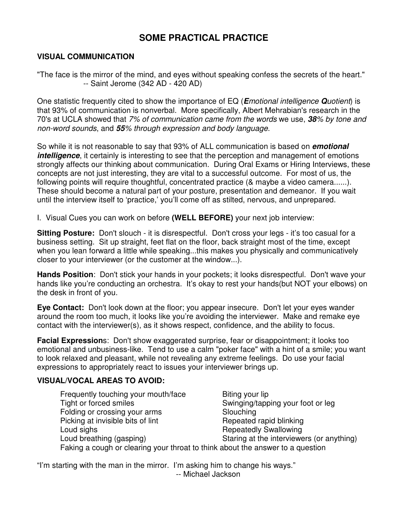## **SOME PRACTICAL PRACTICE**

#### **VISUAL COMMUNICATION**

"The face is the mirror of the mind, and eyes without speaking confess the secrets of the heart." -- Saint Jerome (342 AD - 420 AD)

One statistic frequently cited to show the importance of EQ (**E**motional intelligence **Q**uotient) is that 93% of communication is nonverbal. More specifically, Albert Mehrabian's research in the 70's at UCLA showed that 7% of communication came from the words we use, **38**% by tone and non-word sounds, and **55**% through expression and body language.

So while it is not reasonable to say that 93% of ALL communication is based on **emotional intelligence**, it certainly is interesting to see that the perception and management of emotions strongly affects our thinking about communication. During Oral Exams or Hiring Interviews, these concepts are not just interesting, they are vital to a successful outcome. For most of us, the following points will require thoughtful, concentrated practice (& maybe a video camera......). These should become a natural part of your posture, presentation and demeanor. If you wait until the interview itself to 'practice,' you'll come off as stilted, nervous, and unprepared.

I. Visual Cues you can work on before **(WELL BEFORE)** your next job interview:

**Sitting Posture:** Don't slouch - it is disrespectful. Don't cross your legs - it's too casual for a business setting. Sit up straight, feet flat on the floor, back straight most of the time, except when you lean forward a little while speaking...this makes you physically and communicatively closer to your interviewer (or the customer at the window...).

**Hands Position**: Don't stick your hands in your pockets; it looks disrespectful. Don't wave your hands like you're conducting an orchestra. It's okay to rest your hands(but NOT your elbows) on the desk in front of you.

**Eye Contact:** Don't look down at the floor; you appear insecure. Don't let your eyes wander around the room too much, it looks like you're avoiding the interviewer. Make and remake eye contact with the interviewer(s), as it shows respect, confidence, and the ability to focus.

**Facial Expression**s: Don't show exaggerated surprise, fear or disappointment; it looks too emotional and unbusiness-like. Tend to use a calm "poker face" with a hint of a smile; you want to look relaxed and pleasant, while not revealing any extreme feelings. Do use your facial expressions to appropriately react to issues your interviewer brings up.

#### **VISUAL/VOCAL AREAS TO AVOID:**

Frequently touching your mouth/face Biting your lip Tight or forced smiles Tight or forced smiles Folding or crossing your arms Slouching Picking at invisible bits of lint **Repeated rapid blinking** Loud sighs **Repeatedly Swallowing** Loud breathing (gasping) Staring at the interviewers (or anything) Faking a cough or clearing your throat to think about the answer to a question

"I'm starting with the man in the mirror. I'm asking him to change his ways." -- Michael Jackson